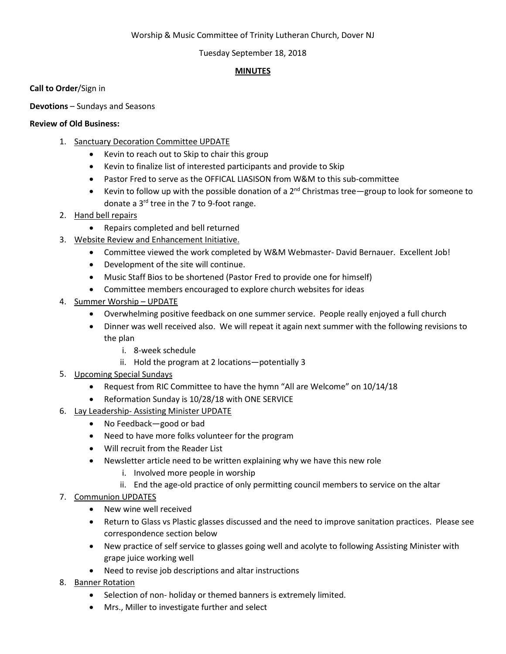# Worship & Music Committee of Trinity Lutheran Church, Dover NJ

## Tuesday September 18, 2018

# **MINUTES**

**Call to Order**/Sign in

**Devotions** – Sundays and Seasons

## **Review of Old Business:**

- 1. Sanctuary Decoration Committee UPDATE
	- Kevin to reach out to Skip to chair this group
	- Kevin to finalize list of interested participants and provide to Skip
	- Pastor Fred to serve as the OFFICAL LIASISON from W&M to this sub-committee
	- Kevin to follow up with the possible donation of a  $2^{nd}$  Christmas tree—group to look for someone to donate a 3rd tree in the 7 to 9-foot range.
- 2. Hand bell repairs
	- Repairs completed and bell returned
- 3. Website Review and Enhancement Initiative.
	- Committee viewed the work completed by W&M Webmaster- David Bernauer. Excellent Job!
	- Development of the site will continue.
	- Music Staff Bios to be shortened (Pastor Fred to provide one for himself)
	- Committee members encouraged to explore church websites for ideas
- 4. Summer Worship UPDATE
	- Overwhelming positive feedback on one summer service. People really enjoyed a full church
	- Dinner was well received also. We will repeat it again next summer with the following revisions to the plan
		- i. 8-week schedule
		- ii. Hold the program at 2 locations—potentially 3
- 5. Upcoming Special Sundays
	- Request from RIC Committee to have the hymn "All are Welcome" on 10/14/18
	- Reformation Sunday is 10/28/18 with ONE SERVICE
- 6. Lay Leadership- Assisting Minister UPDATE
	- No Feedback—good or bad
	- Need to have more folks volunteer for the program
	- Will recruit from the Reader List
	- Newsletter article need to be written explaining why we have this new role
		- i. Involved more people in worship
		- ii. End the age-old practice of only permitting council members to service on the altar
- 7. Communion UPDATES
	- New wine well received
	- Return to Glass vs Plastic glasses discussed and the need to improve sanitation practices. Please see correspondence section below
	- New practice of self service to glasses going well and acolyte to following Assisting Minister with grape juice working well
	- Need to revise job descriptions and altar instructions
- 8. Banner Rotation
	- Selection of non- holiday or themed banners is extremely limited.
	- Mrs., Miller to investigate further and select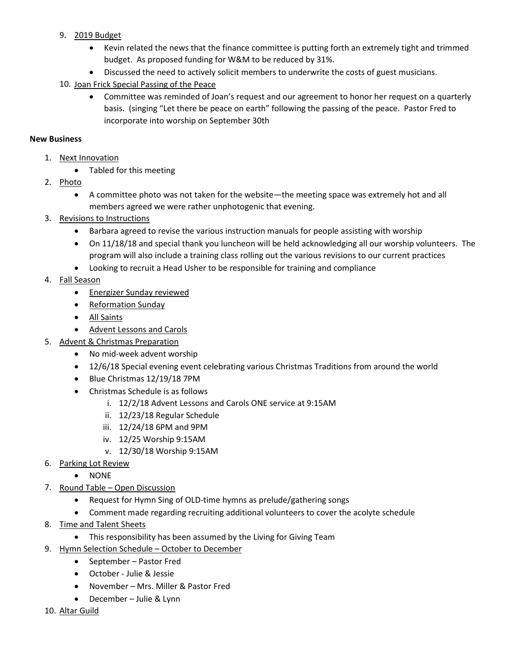- 9. 2019 Budget
	- Kevin related the news that the finance committee is putting forth an extremely tight and trimmed budget. As proposed funding for W&M to be reduced by 31%.
	- Discussed the need to actively solicit members to underwrite the costs of guest musicians.
- 10. Joan Frick Special Passing of the Peace
	- Committee was reminded of Joan's request and our agreement to honor her request on a quarterly basis. (singing "Let there be peace on earth" following the passing of the peace. Pastor Fred to incorporate into worship on September 30th

# **New Business**

- 1. Next Innovation
	- Tabled for this meeting
- 2. Photo
	- A committee photo was not taken for the website—the meeting space was extremely hot and all members agreed we were rather unphotogenic that evening.
- 3. Revisions to Instructions
	- Barbara agreed to revise the various instruction manuals for people assisting with worship
	- On 11/18/18 and special thank you luncheon will be held acknowledging all our worship volunteers. The program will also include a training class rolling out the various revisions to our current practices
	- Looking to recruit a Head Usher to be responsible for training and compliance
- 4. Fall Season
	- Energizer Sunday reviewed
	- Reformation Sunday
	- All Saints
	- Advent Lessons and Carols
- 5. Advent & Christmas Preparation
	- No mid-week advent worship
	- 12/6/18 Special evening event celebrating various Christmas Traditions from around the world
	- Blue Christmas 12/19/18 7PM
	- Christmas Schedule is as follows
		- i. 12/2/18 Advent Lessons and Carols ONE service at 9:15AM
		- ii. 12/23/18 Regular Schedule
		- iii. 12/24/18 6PM and 9PM
		- iv. 12/25 Worship 9:15AM
		- v. 12/30/18 Worship 9:15AM
- 6. Parking Lot Review
	- NONE
- 7. Round Table Open Discussion
	- Request for Hymn Sing of OLD-time hymns as prelude/gathering songs
	- Comment made regarding recruiting additional volunteers to cover the acolyte schedule
- 8. Time and Talent Sheets
	- This responsibility has been assumed by the Living for Giving Team
- 9. Hymn Selection Schedule October to December
	- September Pastor Fred
	- October Julie & Jessie
	- November Mrs. Miller & Pastor Fred
	- December Julie & Lynn
- 10. Altar Guild